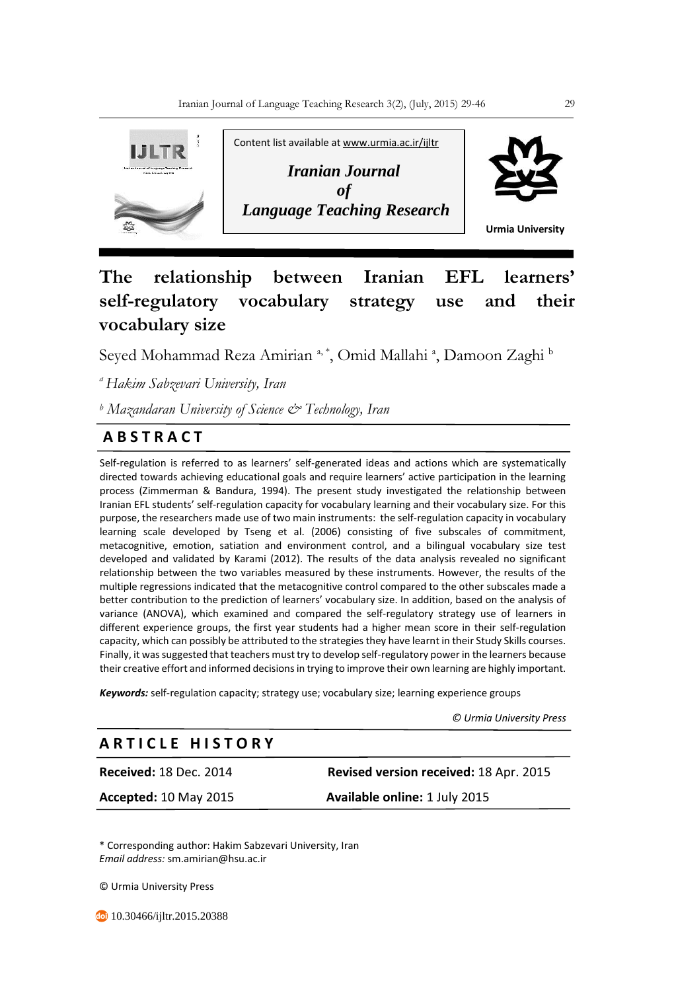

# **The relationship between Iranian EFL learners' self-regulatory vocabulary strategy use and their vocabulary size**

Seyed Mohammad Reza Amirian <sup>a, \*</sup>, Omid Mallahi <sup>a</sup>, Damoon Zaghi <sup>b</sup>

*<sup>a</sup>Hakim Sabzevari University, Iran*

*<sup>b</sup> Mazandaran University of Science & Technology, Iran* 

# **A B S T R A C T**

Self-regulation is referred to as learners' self-generated ideas and actions which are systematically directed towards achieving educational goals and require learners' active participation in the learning process (Zimmerman & Bandura, 1994). The present study investigated the relationship between Iranian EFL students' self-regulation capacity for vocabulary learning and their vocabulary size. For this purpose, the researchers made use of two main instruments: the self-regulation capacity in vocabulary learning scale developed by Tseng et al. (2006) consisting of five subscales of commitment, metacognitive, emotion, satiation and environment control, and a bilingual vocabulary size test developed and validated by Karami (2012). The results of the data analysis revealed no significant relationship between the two variables measured by these instruments. However, the results of the multiple regressions indicated that the metacognitive control compared to the other subscales made a better contribution to the prediction of learners' vocabulary size. In addition, based on the analysis of variance (ANOVA), which examined and compared the self-regulatory strategy use of learners in different experience groups, the first year students had a higher mean score in their self-regulation capacity, which can possibly be attributed to the strategies they have learnt in their Study Skills courses. Finally, it was suggested that teachers must try to develop self-regulatory power in the learners because their creative effort and informed decisions in trying to improve their own learning are highly important.

*Keywords:* self-regulation capacity; strategy use; vocabulary size; learning experience groups

 *© Urmia University Press*

## **A R T I C L E H I S T O R Y**

**Received:** 18 Dec. 2014 **Revised version received:** 18 Apr. 2015

**Accepted:** 10 May 2015 **Available online:** 1 July 2015

\* Corresponding author: Hakim Sabzevari University, Iran *Email address:* sm.amirian@hsu.ac.ir

© Urmia University Press

**<sup>co</sup>** 10.30466/ijltr.2015.20388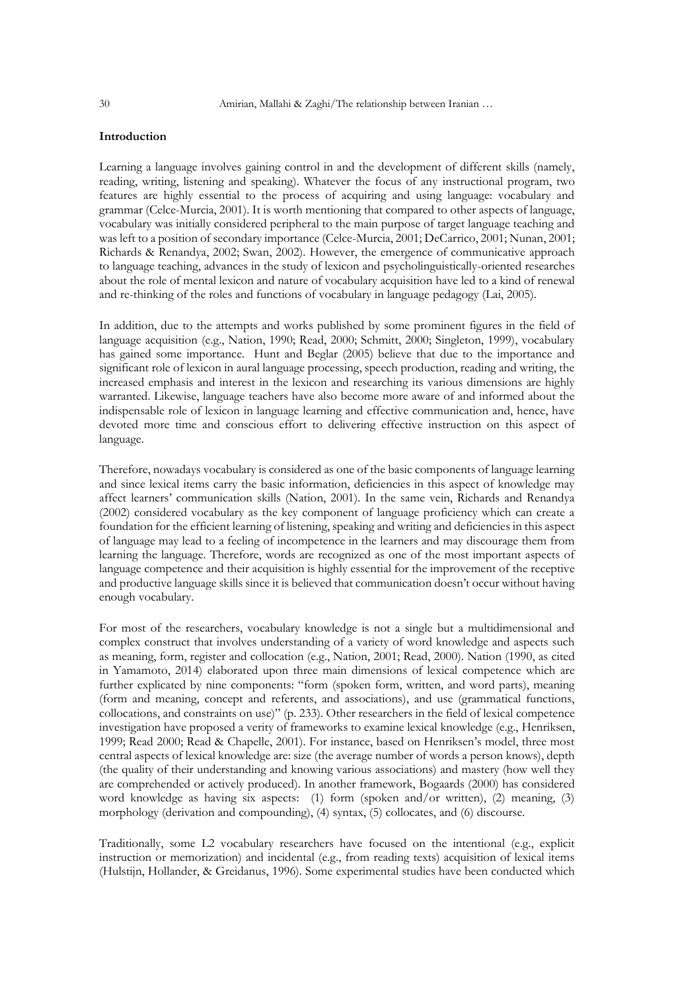### **Introduction**

Learning a language involves gaining control in and the development of different skills (namely, reading, writing, listening and speaking). Whatever the focus of any instructional program, two features are highly essential to the process of acquiring and using language: vocabulary and grammar (Celce-Murcia, 2001). It is worth mentioning that compared to other aspects of language, vocabulary was initially considered peripheral to the main purpose of target language teaching and was left to a position of secondary importance (Celce-Murcia, 2001; DeCarrico, 2001; Nunan, 2001; Richards & Renandya, 2002; Swan, 2002). However, the emergence of communicative approach to language teaching, advances in the study of lexicon and psycholinguistically-oriented researches about the role of mental lexicon and nature of vocabulary acquisition have led to a kind of renewal and re-thinking of the roles and functions of vocabulary in language pedagogy (Lai, 2005).

In addition, due to the attempts and works published by some prominent figures in the field of language acquisition (e.g., Nation, 1990; Read, 2000; Schmitt, 2000; Singleton, 1999), vocabulary has gained some importance. Hunt and Beglar (2005) believe that due to the importance and significant role of lexicon in aural language processing, speech production, reading and writing, the increased emphasis and interest in the lexicon and researching its various dimensions are highly warranted. Likewise, language teachers have also become more aware of and informed about the indispensable role of lexicon in language learning and effective communication and, hence, have devoted more time and conscious effort to delivering effective instruction on this aspect of language.

Therefore, nowadays vocabulary is considered as one of the basic components of language learning and since lexical items carry the basic information, deficiencies in this aspect of knowledge may affect learners' communication skills (Nation, 2001). In the same vein, Richards and Renandya (2002) considered vocabulary as the key component of language proficiency which can create a foundation for the efficient learning of listening, speaking and writing and deficiencies in this aspect of language may lead to a feeling of incompetence in the learners and may discourage them from learning the language. Therefore, words are recognized as one of the most important aspects of language competence and their acquisition is highly essential for the improvement of the receptive and productive language skills since it is believed that communication doesn't occur without having enough vocabulary.

For most of the researchers, vocabulary knowledge is not a single but a multidimensional and complex construct that involves understanding of a variety of word knowledge and aspects such as meaning, form, register and collocation (e.g., Nation, 2001; Read, 2000). Nation (1990, as cited in Yamamoto, 2014) elaborated upon three main dimensions of lexical competence which are further explicated by nine components: "form (spoken form, written, and word parts), meaning (form and meaning, concept and referents, and associations), and use (grammatical functions, collocations, and constraints on use)" (p. 233). Other researchers in the field of lexical competence investigation have proposed a verity of frameworks to examine lexical knowledge (e.g., Henriksen, 1999; Read 2000; Read & Chapelle, 2001). For instance, based on Henriksen's model, three most central aspects of lexical knowledge are: size (the average number of words a person knows), depth (the quality of their understanding and knowing various associations) and mastery (how well they are comprehended or actively produced). In another framework, Bogaards (2000) has considered word knowledge as having six aspects: (1) form (spoken and/or written), (2) meaning, (3) morphology (derivation and compounding), (4) syntax, (5) collocates, and (6) discourse.

Traditionally, some L2 vocabulary researchers have focused on the intentional (e.g., explicit instruction or memorization) and incidental (e.g., from reading texts) acquisition of lexical items (Hulstijn, Hollander, & Greidanus, 1996). Some experimental studies have been conducted which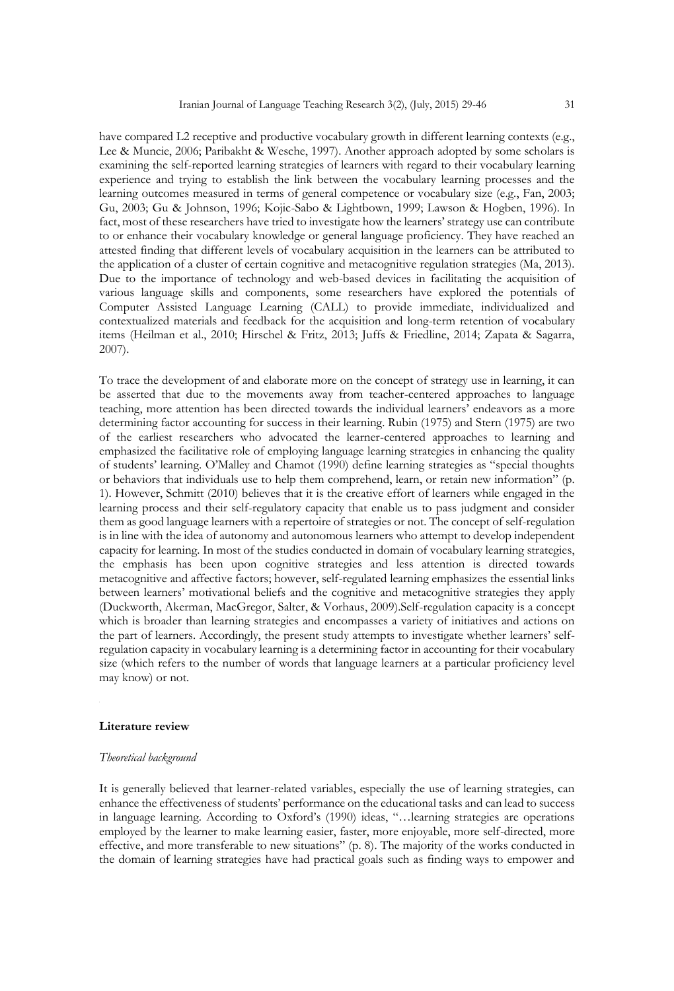have compared L2 receptive and productive vocabulary growth in different learning contexts (e.g., Lee & Muncie, 2006; Paribakht & Wesche, 1997). Another approach adopted by some scholars is examining the self-reported learning strategies of learners with regard to their vocabulary learning experience and trying to establish the link between the vocabulary learning processes and the learning outcomes measured in terms of general competence or vocabulary size (e.g., Fan, 2003; Gu, 2003; Gu & Johnson, 1996; Kojic-Sabo & Lightbown, 1999; Lawson & Hogben, 1996). In fact, most of these researchers have tried to investigate how the learners' strategy use can contribute to or enhance their vocabulary knowledge or general language proficiency. They have reached an attested finding that different levels of vocabulary acquisition in the learners can be attributed to the application of a cluster of certain cognitive and metacognitive regulation strategies (Ma, 2013). Due to the importance of technology and web-based devices in facilitating the acquisition of various language skills and components, some researchers have explored the potentials of Computer Assisted Language Learning (CALL) to provide immediate, individualized and contextualized materials and feedback for the acquisition and long-term retention of vocabulary items (Heilman et al., 2010; Hirschel & Fritz, 2013; Juffs & Friedline, 2014; Zapata & Sagarra, 2007).

To trace the development of and elaborate more on the concept of strategy use in learning, it can be asserted that due to the movements away from teacher-centered approaches to language teaching, more attention has been directed towards the individual learners' endeavors as a more determining factor accounting for success in their learning. Rubin (1975) and Stern (1975) are two of the earliest researchers who advocated the learner-centered approaches to learning and emphasized the facilitative role of employing language learning strategies in enhancing the quality of students' learning. O'Malley and Chamot (1990) define learning strategies as "special thoughts or behaviors that individuals use to help them comprehend, learn, or retain new information" (p. 1). However, Schmitt (2010) believes that it is the creative effort of learners while engaged in the learning process and their self-regulatory capacity that enable us to pass judgment and consider them as good language learners with a repertoire of strategies or not. The concept of self-regulation is in line with the idea of autonomy and autonomous learners who attempt to develop independent capacity for learning. In most of the studies conducted in domain of vocabulary learning strategies, the emphasis has been upon cognitive strategies and less attention is directed towards metacognitive and affective factors; however, self-regulated learning emphasizes the essential links between learners' motivational beliefs and the cognitive and metacognitive strategies they apply (Duckworth, Akerman, MacGregor, Salter, & Vorhaus, 2009).Self-regulation capacity is a concept which is broader than learning strategies and encompasses a variety of initiatives and actions on the part of learners. Accordingly, the present study attempts to investigate whether learners' selfregulation capacity in vocabulary learning is a determining factor in accounting for their vocabulary size (which refers to the number of words that language learners at a particular proficiency level may know) or not.

#### **Literature review**

#### *Theoretical background*

It is generally believed that learner-related variables, especially the use of learning strategies, can enhance the effectiveness of students' performance on the educational tasks and can lead to success in language learning. According to Oxford's (1990) ideas, "…learning strategies are operations employed by the learner to make learning easier, faster, more enjoyable, more self-directed, more effective, and more transferable to new situations" (p. 8). The majority of the works conducted in the domain of learning strategies have had practical goals such as finding ways to empower and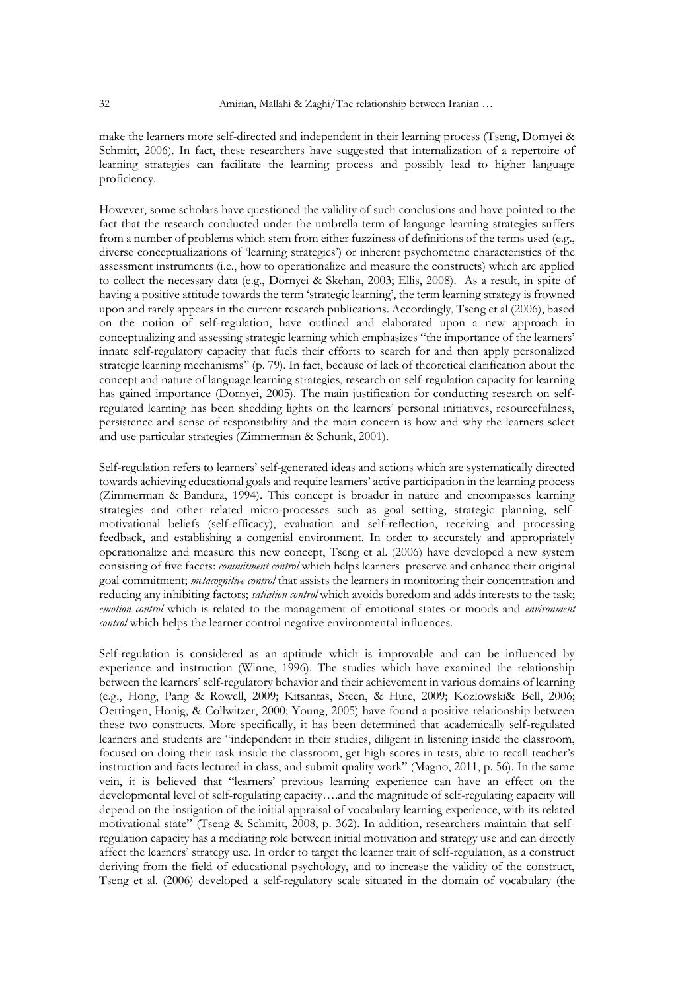make the learners more self-directed and independent in their learning process (Tseng, Dornyei & Schmitt, 2006). In fact, these researchers have suggested that internalization of a repertoire of learning strategies can facilitate the learning process and possibly lead to higher language proficiency.

However, some scholars have questioned the validity of such conclusions and have pointed to the fact that the research conducted under the umbrella term of language learning strategies suffers from a number of problems which stem from either fuzziness of definitions of the terms used (e.g., diverse conceptualizations of 'learning strategies') or inherent psychometric characteristics of the assessment instruments (i.e., how to operationalize and measure the constructs) which are applied to collect the necessary data (e.g., Dörnyei & Skehan, 2003; Ellis, 2008). As a result, in spite of having a positive attitude towards the term 'strategic learning', the term learning strategy is frowned upon and rarely appears in the current research publications. Accordingly, Tseng et al (2006), based on the notion of self-regulation, have outlined and elaborated upon a new approach in conceptualizing and assessing strategic learning which emphasizes "the importance of the learners' innate self-regulatory capacity that fuels their efforts to search for and then apply personalized strategic learning mechanisms" (p. 79). In fact, because of lack of theoretical clarification about the concept and nature of language learning strategies, research on self-regulation capacity for learning has gained importance (Dörnyei, 2005). The main justification for conducting research on selfregulated learning has been shedding lights on the learners' personal initiatives, resourcefulness, persistence and sense of responsibility and the main concern is how and why the learners select and use particular strategies (Zimmerman & Schunk, 2001).

Self-regulation refers to learners' self-generated ideas and actions which are systematically directed towards achieving educational goals and require learners' active participation in the learning process (Zimmerman & Bandura, 1994). This concept is broader in nature and encompasses learning strategies and other related micro-processes such as goal setting, strategic planning, selfmotivational beliefs (self-efficacy), evaluation and self-reflection, receiving and processing feedback, and establishing a congenial environment. In order to accurately and appropriately operationalize and measure this new concept, Tseng et al. (2006) have developed a new system consisting of five facets: *commitment control* which helps learners preserve and enhance their original goal commitment; *metacognitive control* that assists the learners in monitoring their concentration and reducing any inhibiting factors; *satiation control* which avoids boredom and adds interests to the task; *emotion control* which is related to the management of emotional states or moods and *environment control* which helps the learner control negative environmental influences.

Self-regulation is considered as an aptitude which is improvable and can be influenced by experience and instruction (Winne, 1996). The studies which have examined the relationship between the learners' self-regulatory behavior and their achievement in various domains of learning (e.g., Hong, Pang & Rowell, 2009; Kitsantas, Steen, & Huie, 2009; Kozlowski& Bell, 2006; Oettingen, Honig, & Collwitzer, 2000; Young, 2005) have found a positive relationship between these two constructs. More specifically, it has been determined that academically self-regulated learners and students are "independent in their studies, diligent in listening inside the classroom, focused on doing their task inside the classroom, get high scores in tests, able to recall teacher's instruction and facts lectured in class, and submit quality work" (Magno, 2011, p. 56). In the same vein, it is believed that "learners' previous learning experience can have an effect on the developmental level of self-regulating capacity….and the magnitude of self-regulating capacity will depend on the instigation of the initial appraisal of vocabulary learning experience, with its related motivational state" (Tseng & Schmitt, 2008, p. 362). In addition, researchers maintain that selfregulation capacity has a mediating role between initial motivation and strategy use and can directly affect the learners' strategy use. In order to target the learner trait of self-regulation, as a construct deriving from the field of educational psychology, and to increase the validity of the construct, Tseng et al. (2006) developed a self-regulatory scale situated in the domain of vocabulary (the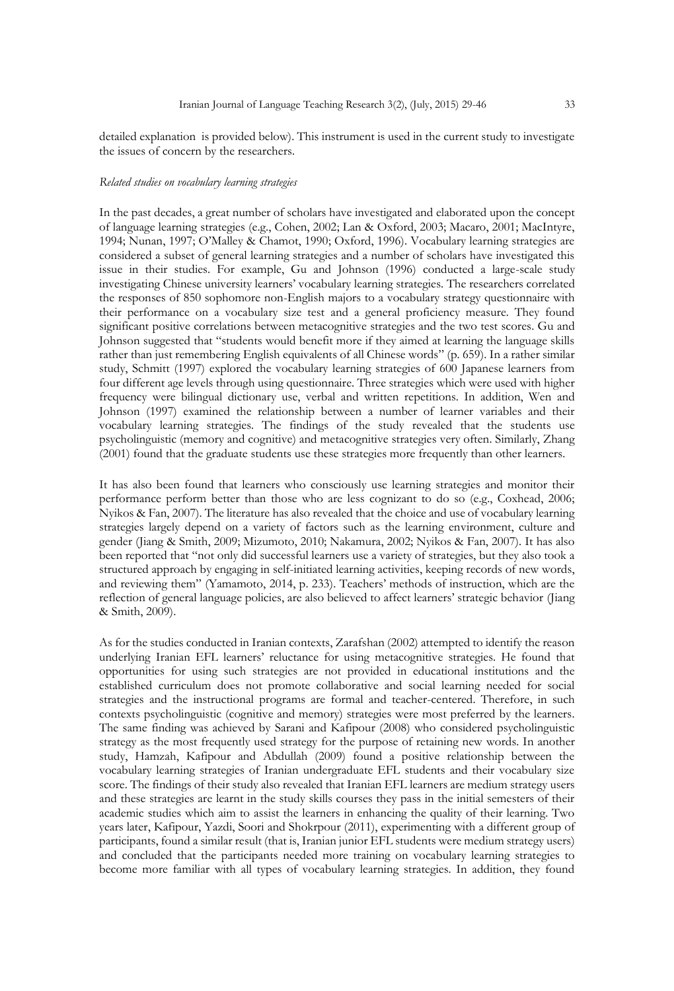detailed explanation is provided below). This instrument is used in the current study to investigate the issues of concern by the researchers.

#### *Related studies on vocabulary learning strategies*

In the past decades, a great number of scholars have investigated and elaborated upon the concept of language learning strategies (e.g., Cohen, 2002; Lan & Oxford, 2003; Macaro, 2001; MacIntyre, 1994; Nunan, 1997; O'Malley & Chamot, 1990; Oxford, 1996). Vocabulary learning strategies are considered a subset of general learning strategies and a number of scholars have investigated this issue in their studies. For example, Gu and Johnson (1996) conducted a large-scale study investigating Chinese university learners' vocabulary learning strategies. The researchers correlated the responses of 850 sophomore non-English majors to a vocabulary strategy questionnaire with their performance on a vocabulary size test and a general proficiency measure. They found significant positive correlations between metacognitive strategies and the two test scores. Gu and Johnson suggested that "students would benefit more if they aimed at learning the language skills rather than just remembering English equivalents of all Chinese words" (p. 659). In a rather similar study, Schmitt (1997) explored the vocabulary learning strategies of 600 Japanese learners from four different age levels through using questionnaire. Three strategies which were used with higher frequency were bilingual dictionary use, verbal and written repetitions. In addition, Wen and Johnson (1997) examined the relationship between a number of learner variables and their vocabulary learning strategies. The findings of the study revealed that the students use psycholinguistic (memory and cognitive) and metacognitive strategies very often. Similarly, Zhang (2001) found that the graduate students use these strategies more frequently than other learners.

It has also been found that learners who consciously use learning strategies and monitor their performance perform better than those who are less cognizant to do so (e.g., Coxhead, 2006; Nyikos & Fan, 2007). The literature has also revealed that the choice and use of vocabulary learning strategies largely depend on a variety of factors such as the learning environment, culture and gender (Jiang & Smith, 2009; Mizumoto, 2010; Nakamura, 2002; Nyikos & Fan, 2007). It has also been reported that "not only did successful learners use a variety of strategies, but they also took a structured approach by engaging in self-initiated learning activities, keeping records of new words, and reviewing them" (Yamamoto, 2014, p. 233). Teachers' methods of instruction, which are the reflection of general language policies, are also believed to affect learners' strategic behavior (Jiang & Smith, 2009).

As for the studies conducted in Iranian contexts, Zarafshan (2002) attempted to identify the reason underlying Iranian EFL learners' reluctance for using metacognitive strategies. He found that opportunities for using such strategies are not provided in educational institutions and the established curriculum does not promote collaborative and social learning needed for social strategies and the instructional programs are formal and teacher-centered. Therefore, in such contexts psycholinguistic (cognitive and memory) strategies were most preferred by the learners. The same finding was achieved by Sarani and Kafipour (2008) who considered psycholinguistic strategy as the most frequently used strategy for the purpose of retaining new words. In another study, Hamzah, Kafipour and Abdullah (2009) found a positive relationship between the vocabulary learning strategies of Iranian undergraduate EFL students and their vocabulary size score. The findings of their study also revealed that Iranian EFL learners are medium strategy users and these strategies are learnt in the study skills courses they pass in the initial semesters of their academic studies which aim to assist the learners in enhancing the quality of their learning. Two years later, Kafipour, Yazdi, Soori and Shokrpour (2011), experimenting with a different group of participants, found a similar result (that is, Iranian junior EFL students were medium strategy users) and concluded that the participants needed more training on vocabulary learning strategies to become more familiar with all types of vocabulary learning strategies. In addition, they found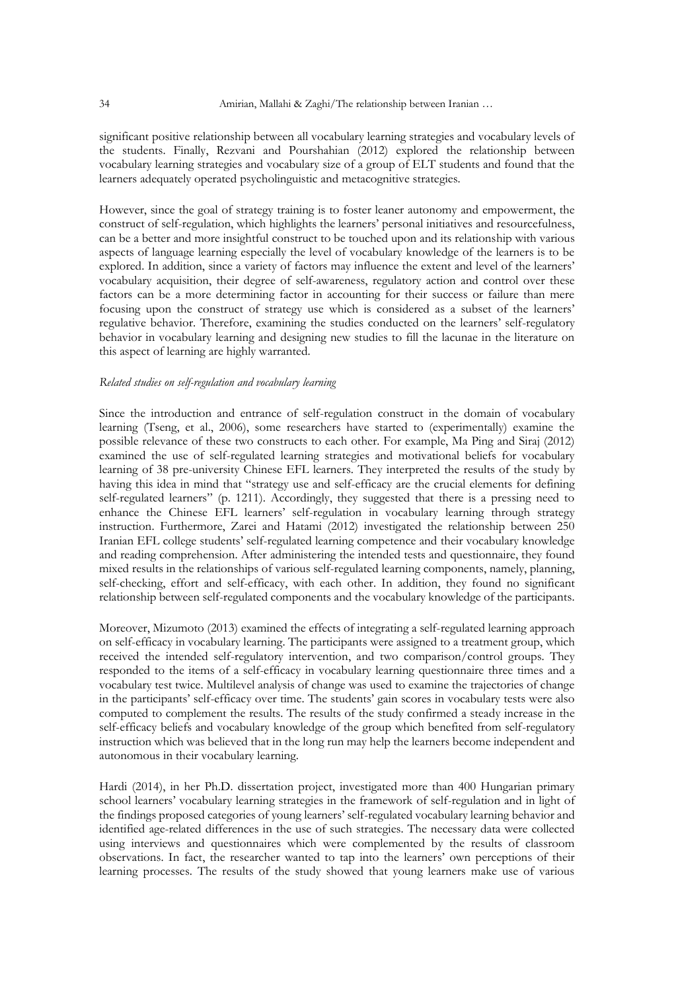significant positive relationship between all vocabulary learning strategies and vocabulary levels of the students. Finally, Rezvani and Pourshahian (2012) explored the relationship between vocabulary learning strategies and vocabulary size of a group of ELT students and found that the learners adequately operated psycholinguistic and metacognitive strategies.

However, since the goal of strategy training is to foster leaner autonomy and empowerment, the construct of self-regulation, which highlights the learners' personal initiatives and resourcefulness, can be a better and more insightful construct to be touched upon and its relationship with various aspects of language learning especially the level of vocabulary knowledge of the learners is to be explored. In addition, since a variety of factors may influence the extent and level of the learners' vocabulary acquisition, their degree of self-awareness, regulatory action and control over these factors can be a more determining factor in accounting for their success or failure than mere focusing upon the construct of strategy use which is considered as a subset of the learners' regulative behavior. Therefore, examining the studies conducted on the learners' self-regulatory behavior in vocabulary learning and designing new studies to fill the lacunae in the literature on this aspect of learning are highly warranted.

#### *Related studies on self-regulation and vocabulary learning*

Since the introduction and entrance of self-regulation construct in the domain of vocabulary learning (Tseng, et al., 2006), some researchers have started to (experimentally) examine the possible relevance of these two constructs to each other. For example, Ma Ping and Siraj (2012) examined the use of self-regulated learning strategies and motivational beliefs for vocabulary learning of 38 pre-university Chinese EFL learners. They interpreted the results of the study by having this idea in mind that "strategy use and self-efficacy are the crucial elements for defining self-regulated learners" (p. 1211). Accordingly, they suggested that there is a pressing need to enhance the Chinese EFL learners' self-regulation in vocabulary learning through strategy instruction. Furthermore, Zarei and Hatami (2012) investigated the relationship between 250 Iranian EFL college students' self-regulated learning competence and their vocabulary knowledge and reading comprehension. After administering the intended tests and questionnaire, they found mixed results in the relationships of various self-regulated learning components, namely, planning, self-checking, effort and self-efficacy, with each other. In addition, they found no significant relationship between self-regulated components and the vocabulary knowledge of the participants.

Moreover, Mizumoto (2013) examined the effects of integrating a self-regulated learning approach on self-efficacy in vocabulary learning. The participants were assigned to a treatment group, which received the intended self-regulatory intervention, and two comparison/control groups. They responded to the items of a self-efficacy in vocabulary learning questionnaire three times and a vocabulary test twice. Multilevel analysis of change was used to examine the trajectories of change in the participants' self-efficacy over time. The students' gain scores in vocabulary tests were also computed to complement the results. The results of the study confirmed a steady increase in the self-efficacy beliefs and vocabulary knowledge of the group which benefited from self-regulatory instruction which was believed that in the long run may help the learners become independent and autonomous in their vocabulary learning.

Hardi (2014), in her Ph.D. dissertation project, investigated more than 400 Hungarian primary school learners' vocabulary learning strategies in the framework of self-regulation and in light of the findings proposed categories of young learners' self-regulated vocabulary learning behavior and identified age-related differences in the use of such strategies. The necessary data were collected using interviews and questionnaires which were complemented by the results of classroom observations. In fact, the researcher wanted to tap into the learners' own perceptions of their learning processes. The results of the study showed that young learners make use of various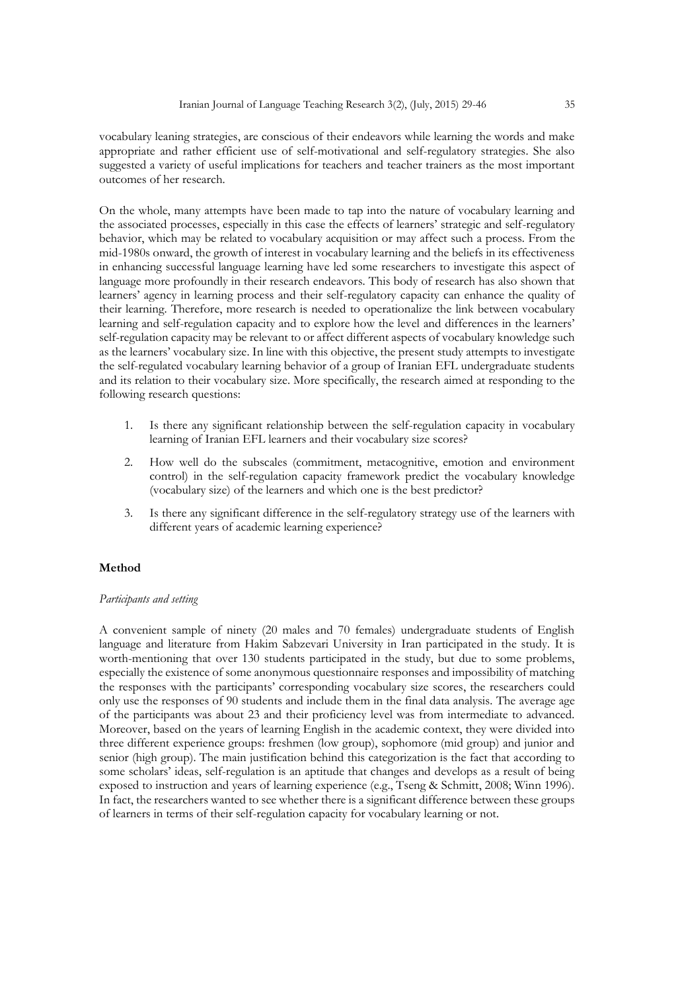vocabulary leaning strategies, are conscious of their endeavors while learning the words and make appropriate and rather efficient use of self-motivational and self-regulatory strategies. She also suggested a variety of useful implications for teachers and teacher trainers as the most important outcomes of her research.

On the whole, many attempts have been made to tap into the nature of vocabulary learning and the associated processes, especially in this case the effects of learners' strategic and self-regulatory behavior, which may be related to vocabulary acquisition or may affect such a process. From the mid-1980s onward, the growth of interest in vocabulary learning and the beliefs in its effectiveness in enhancing successful language learning have led some researchers to investigate this aspect of language more profoundly in their research endeavors. This body of research has also shown that learners' agency in learning process and their self-regulatory capacity can enhance the quality of their learning. Therefore, more research is needed to operationalize the link between vocabulary learning and self-regulation capacity and to explore how the level and differences in the learners' self-regulation capacity may be relevant to or affect different aspects of vocabulary knowledge such as the learners' vocabulary size. In line with this objective, the present study attempts to investigate the self-regulated vocabulary learning behavior of a group of Iranian EFL undergraduate students and its relation to their vocabulary size. More specifically, the research aimed at responding to the following research questions:

- 1. Is there any significant relationship between the self-regulation capacity in vocabulary learning of Iranian EFL learners and their vocabulary size scores?
- 2. How well do the subscales (commitment, metacognitive, emotion and environment control) in the self-regulation capacity framework predict the vocabulary knowledge (vocabulary size) of the learners and which one is the best predictor?
- 3. Is there any significant difference in the self-regulatory strategy use of the learners with different years of academic learning experience?

#### **Method**

#### *Participants and setting*

A convenient sample of ninety (20 males and 70 females) undergraduate students of English language and literature from Hakim Sabzevari University in Iran participated in the study. It is worth-mentioning that over 130 students participated in the study, but due to some problems, especially the existence of some anonymous questionnaire responses and impossibility of matching the responses with the participants' corresponding vocabulary size scores, the researchers could only use the responses of 90 students and include them in the final data analysis. The average age of the participants was about 23 and their proficiency level was from intermediate to advanced. Moreover, based on the years of learning English in the academic context, they were divided into three different experience groups: freshmen (low group), sophomore (mid group) and junior and senior (high group). The main justification behind this categorization is the fact that according to some scholars' ideas, self-regulation is an aptitude that changes and develops as a result of being exposed to instruction and years of learning experience (e.g., Tseng & Schmitt, 2008; Winn 1996). In fact, the researchers wanted to see whether there is a significant difference between these groups of learners in terms of their self-regulation capacity for vocabulary learning or not.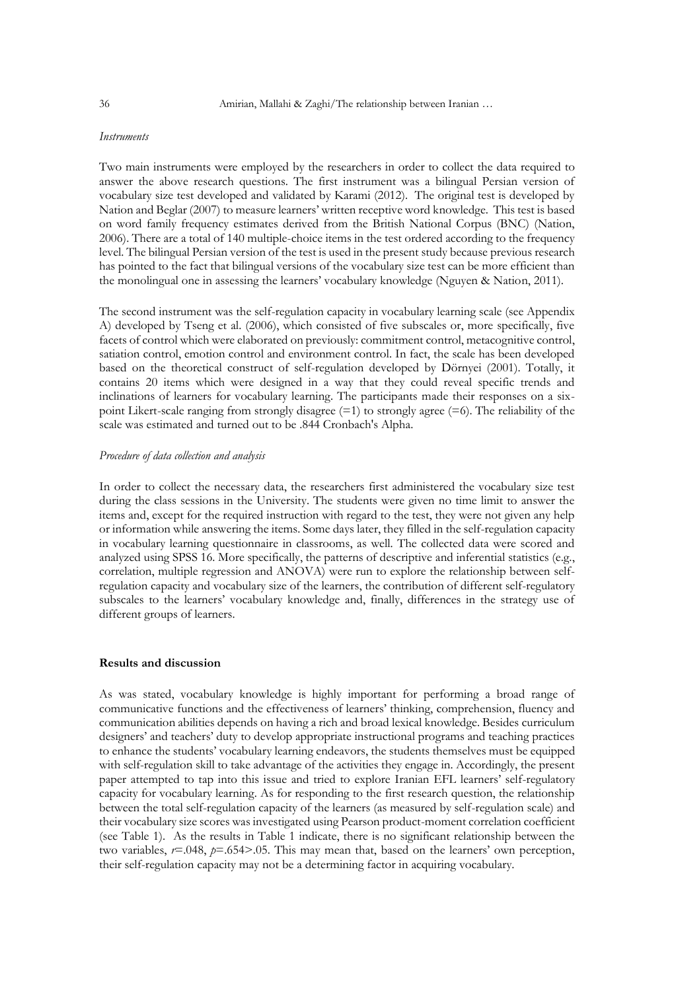#### *Instruments*

Two main instruments were employed by the researchers in order to collect the data required to answer the above research questions. The first instrument was a bilingual Persian version of vocabulary size test developed and validated by Karami (2012). The original test is developed by Nation and Beglar (2007) to measure learners' written receptive word knowledge. This test is based on word family frequency estimates derived from the British National Corpus (BNC) (Nation, 2006). There are a total of 140 multiple-choice items in the test ordered according to the frequency level. The bilingual Persian version of the test is used in the present study because previous research has pointed to the fact that bilingual versions of the vocabulary size test can be more efficient than the monolingual one in assessing the learners' vocabulary knowledge (Nguyen & Nation, 2011).

The second instrument was the self-regulation capacity in vocabulary learning scale (see Appendix A) developed by Tseng et al. (2006), which consisted of five subscales or, more specifically, five facets of control which were elaborated on previously: commitment control, metacognitive control, satiation control, emotion control and environment control. In fact, the scale has been developed based on the theoretical construct of self-regulation developed by Dörnyei (2001). Totally, it contains 20 items which were designed in a way that they could reveal specific trends and inclinations of learners for vocabulary learning. The participants made their responses on a sixpoint Likert-scale ranging from strongly disagree  $(=1)$  to strongly agree  $(=6)$ . The reliability of the scale was estimated and turned out to be .844 Cronbach's Alpha.

#### *Procedure of data collection and analysis*

In order to collect the necessary data, the researchers first administered the vocabulary size test during the class sessions in the University. The students were given no time limit to answer the items and, except for the required instruction with regard to the test, they were not given any help or information while answering the items. Some days later, they filled in the self-regulation capacity in vocabulary learning questionnaire in classrooms, as well. The collected data were scored and analyzed using SPSS 16. More specifically, the patterns of descriptive and inferential statistics (e.g., correlation, multiple regression and ANOVA) were run to explore the relationship between selfregulation capacity and vocabulary size of the learners, the contribution of different self-regulatory subscales to the learners' vocabulary knowledge and, finally, differences in the strategy use of different groups of learners.

#### **Results and discussion**

As was stated, vocabulary knowledge is highly important for performing a broad range of communicative functions and the effectiveness of learners' thinking, comprehension, fluency and communication abilities depends on having a rich and broad lexical knowledge. Besides curriculum designers' and teachers' duty to develop appropriate instructional programs and teaching practices to enhance the students' vocabulary learning endeavors, the students themselves must be equipped with self-regulation skill to take advantage of the activities they engage in. Accordingly, the present paper attempted to tap into this issue and tried to explore Iranian EFL learners' self-regulatory capacity for vocabulary learning. As for responding to the first research question, the relationship between the total self-regulation capacity of the learners (as measured by self-regulation scale) and their vocabulary size scores was investigated using Pearson product-moment correlation coefficient (see Table 1). As the results in Table 1 indicate, there is no significant relationship between the two variables, *r*=.048, *p*=.654>.05. This may mean that, based on the learners' own perception, their self-regulation capacity may not be a determining factor in acquiring vocabulary.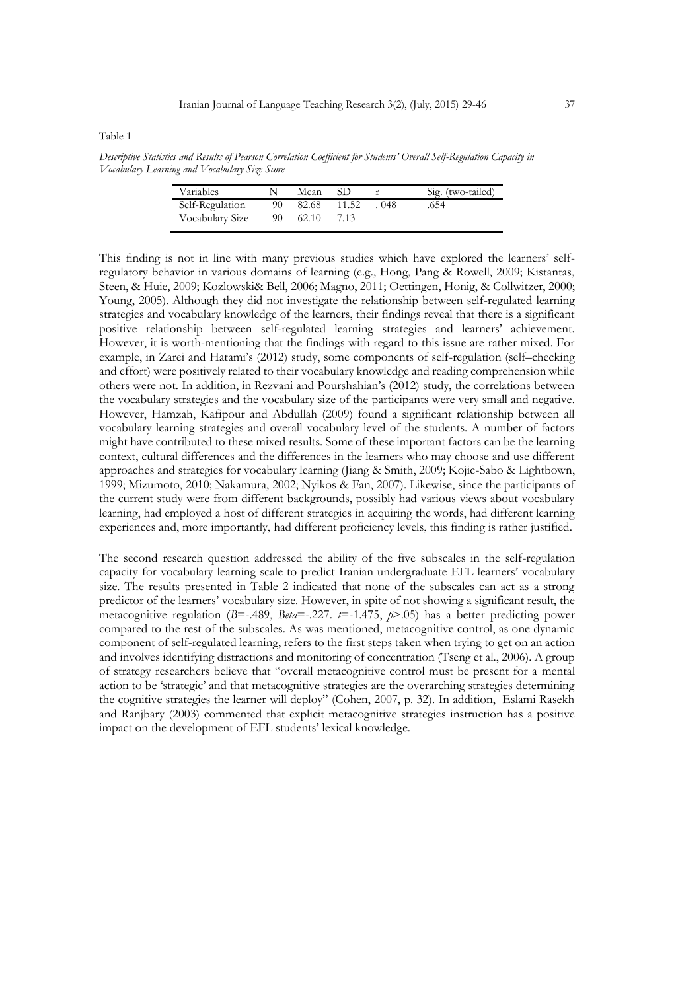Table 1

*Descriptive Statistics and Results of Pearson Correlation Coefficient for Students' Overall Self-Regulation Capacity in Vocabulary Learning and Vocabulary Size Score*

| Variables                          |          | Mean           |       |       | Sig. (two-tailed) |
|------------------------------------|----------|----------------|-------|-------|-------------------|
| Self-Regulation<br>Vocabulary Size | 90<br>90 | 82.68<br>62.10 | 11.52 | . 048 | .654              |

This finding is not in line with many previous studies which have explored the learners' selfregulatory behavior in various domains of learning (e.g., Hong, Pang & Rowell, 2009; Kistantas, Steen, & Huie, 2009; Kozlowski& Bell, 2006; Magno, 2011; Oettingen, Honig, & Collwitzer, 2000; Young, 2005). Although they did not investigate the relationship between self-regulated learning strategies and vocabulary knowledge of the learners, their findings reveal that there is a significant positive relationship between self-regulated learning strategies and learners' achievement. However, it is worth-mentioning that the findings with regard to this issue are rather mixed. For example, in Zarei and Hatami's (2012) study, some components of self-regulation (self–checking and effort) were positively related to their vocabulary knowledge and reading comprehension while others were not. In addition, in Rezvani and Pourshahian's (2012) study, the correlations between the vocabulary strategies and the vocabulary size of the participants were very small and negative. However, Hamzah, Kafipour and Abdullah (2009) found a significant relationship between all vocabulary learning strategies and overall vocabulary level of the students. A number of factors might have contributed to these mixed results. Some of these important factors can be the learning context, cultural differences and the differences in the learners who may choose and use different approaches and strategies for vocabulary learning (Jiang & Smith, 2009; Kojic-Sabo & Lightbown, 1999; Mizumoto, 2010; Nakamura, 2002; Nyikos & Fan, 2007). Likewise, since the participants of the current study were from different backgrounds, possibly had various views about vocabulary learning, had employed a host of different strategies in acquiring the words, had different learning experiences and, more importantly, had different proficiency levels, this finding is rather justified.

The second research question addressed the ability of the five subscales in the self-regulation capacity for vocabulary learning scale to predict Iranian undergraduate EFL learners' vocabulary size. The results presented in Table 2 indicated that none of the subscales can act as a strong predictor of the learners' vocabulary size. However, in spite of not showing a significant result, the metacognitive regulation (*B*=-.489, *Beta*=-.227. *t*=-1.475, *p*>.05) has a better predicting power compared to the rest of the subscales. As was mentioned, metacognitive control, as one dynamic component of self-regulated learning, refers to the first steps taken when trying to get on an action and involves identifying distractions and monitoring of concentration (Tseng et al., 2006). A group of strategy researchers believe that "overall metacognitive control must be present for a mental action to be 'strategic' and that metacognitive strategies are the overarching strategies determining the cognitive strategies the learner will deploy" (Cohen, 2007, p. 32). In addition, Eslami Rasekh and Ranjbary (2003) commented that explicit metacognitive strategies instruction has a positive impact on the development of EFL students' lexical knowledge.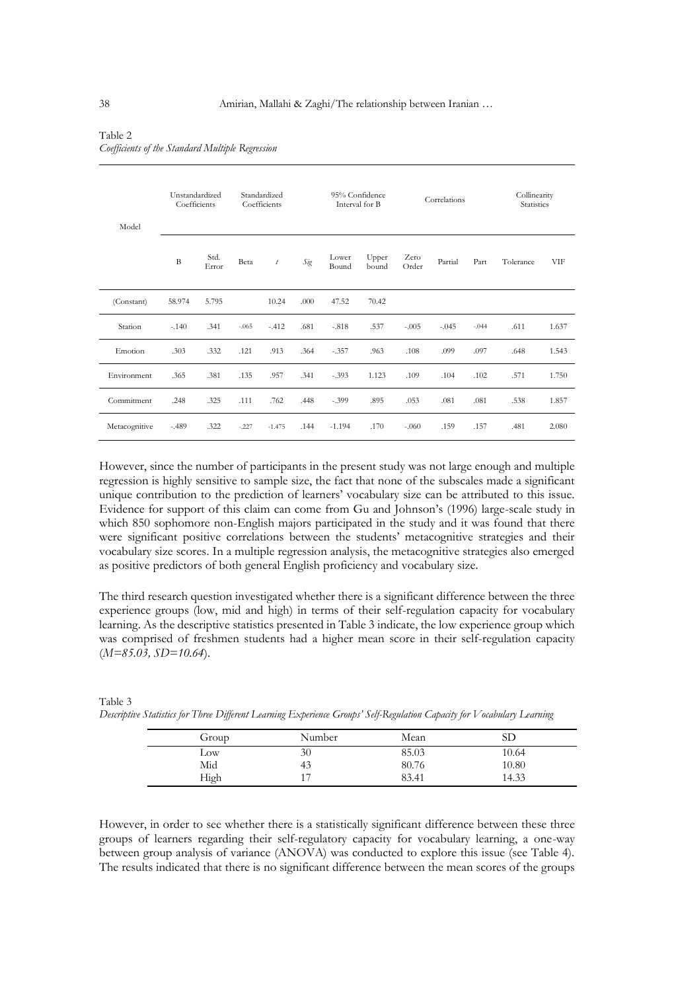| Model         | Unstandardized<br>Coefficients |               |         | Standardized<br>Coefficients |      | 95% Confidence<br>Interval for B |                | Correlations  |         | Collinearity<br><b>Statistics</b> |           |       |
|---------------|--------------------------------|---------------|---------|------------------------------|------|----------------------------------|----------------|---------------|---------|-----------------------------------|-----------|-------|
|               | B                              | Std.<br>Error | Beta    | t                            | Sig  | Lower<br>Bound                   | Upper<br>bound | Zero<br>Order | Partial | Part                              | Tolerance | VIF   |
| (Constant)    | 58.974                         | 5.795         |         | 10.24                        | .000 | 47.52                            | 70.42          |               |         |                                   |           |       |
| Station       | $-.140$                        | .341          | $-.065$ | $-.412$                      | .681 | $-.818$                          | .537           | $-.005$       | $-.045$ | $-.044$                           | .611      | 1.637 |
| Emotion       | .303                           | .332          | .121    | .913                         | .364 | $-.357$                          | .963           | .108          | .099    | .097                              | .648      | 1.543 |
| Environment   | .365                           | .381          | .135    | .957                         | .341 | $-.393$                          | 1.123          | .109          | .104    | .102                              | .571      | 1.750 |
| Commitment    | .248                           | .325          | .111    | .762                         | .448 | $-.399$                          | .895           | .053          | .081    | .081                              | .538      | 1.857 |
| Metacognitive | $-.489$                        | .322          | $-.227$ | $-1.475$                     | .144 | $-1.194$                         | .170           | $-.060$       | .159    | .157                              | .481      | 2.080 |

#### Table 2 *Coefficients of the Standard Multiple Regression*

However, since the number of participants in the present study was not large enough and multiple regression is highly sensitive to sample size, the fact that none of the subscales made a significant unique contribution to the prediction of learners' vocabulary size can be attributed to this issue. Evidence for support of this claim can come from Gu and Johnson's (1996) large-scale study in which 850 sophomore non-English majors participated in the study and it was found that there were significant positive correlations between the students' metacognitive strategies and their vocabulary size scores. In a multiple regression analysis, the metacognitive strategies also emerged as positive predictors of both general English proficiency and vocabulary size.

The third research question investigated whether there is a significant difference between the three experience groups (low, mid and high) in terms of their self-regulation capacity for vocabulary learning. As the descriptive statistics presented in Table 3 indicate, the low experience group which was comprised of freshmen students had a higher mean score in their self-regulation capacity (*M=85.03, SD=10.64*).

| Group | Number | Mean  | SD    |
|-------|--------|-------|-------|
| Low   | 30     | 85.03 | 10.64 |
| Mid   | 43     | 80.76 | 10.80 |
| High  | 17     | 83.41 | 14.33 |

| Table 3                                                                                                                 |  |  |
|-------------------------------------------------------------------------------------------------------------------------|--|--|
| Descriptive Statistics for Three Different Learning Experience Groups' Self-Regulation Capacity for Vocabulary Learning |  |  |

However, in order to see whether there is a statistically significant difference between these three groups of learners regarding their self-regulatory capacity for vocabulary learning, a one-way between group analysis of variance (ANOVA) was conducted to explore this issue (see Table 4). The results indicated that there is no significant difference between the mean scores of the groups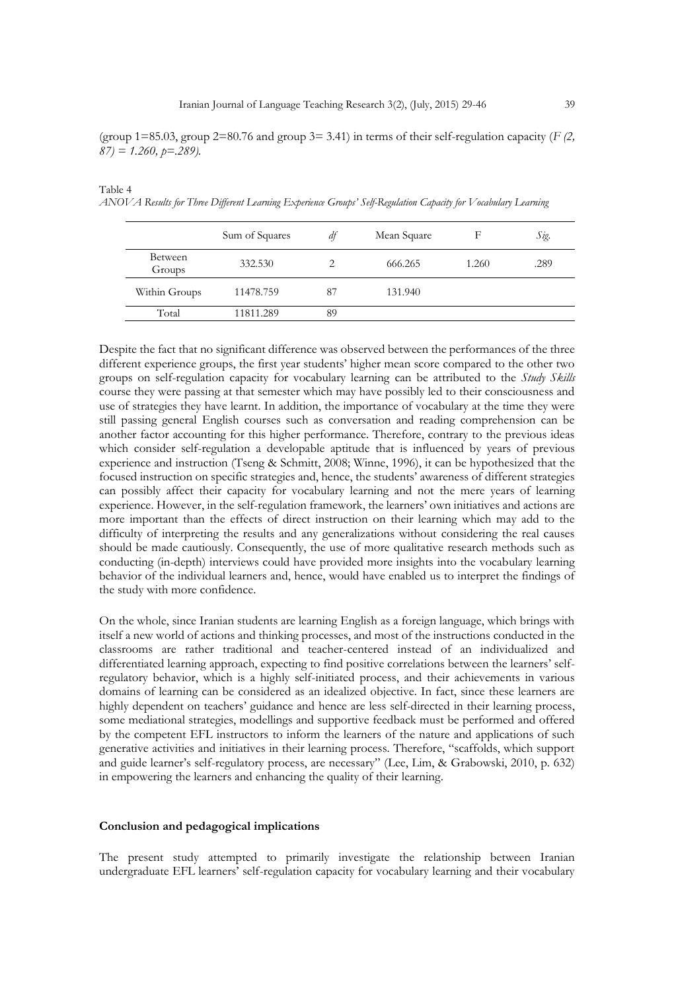(group 1=85.03, group 2=80.76 and group 3= 3.41) in terms of their self-regulation capacity ( $F(2, 1)$ *87) = 1.260, p=.289).*

*ANOVA Results for Three Different Learning Experience Groups' Self-Regulation Capacity for Vocabulary Learning*

Sum of Squares *df* Mean Square F *Sig*. Between Groups 332.530 2 666.265 1.260 .289 Within Groups 11478.759 87 131.940 Total 11811.289 89

Despite the fact that no significant difference was observed between the performances of the three different experience groups, the first year students' higher mean score compared to the other two groups on self-regulation capacity for vocabulary learning can be attributed to the *Study Skills* course they were passing at that semester which may have possibly led to their consciousness and use of strategies they have learnt. In addition, the importance of vocabulary at the time they were still passing general English courses such as conversation and reading comprehension can be another factor accounting for this higher performance. Therefore, contrary to the previous ideas which consider self-regulation a developable aptitude that is influenced by years of previous experience and instruction (Tseng & Schmitt, 2008; Winne, 1996), it can be hypothesized that the focused instruction on specific strategies and, hence, the students' awareness of different strategies can possibly affect their capacity for vocabulary learning and not the mere years of learning experience. However, in the self-regulation framework, the learners' own initiatives and actions are more important than the effects of direct instruction on their learning which may add to the difficulty of interpreting the results and any generalizations without considering the real causes should be made cautiously. Consequently, the use of more qualitative research methods such as conducting (in-depth) interviews could have provided more insights into the vocabulary learning behavior of the individual learners and, hence, would have enabled us to interpret the findings of the study with more confidence.

On the whole, since Iranian students are learning English as a foreign language, which brings with itself a new world of actions and thinking processes, and most of the instructions conducted in the classrooms are rather traditional and teacher-centered instead of an individualized and differentiated learning approach, expecting to find positive correlations between the learners' selfregulatory behavior, which is a highly self-initiated process, and their achievements in various domains of learning can be considered as an idealized objective. In fact, since these learners are highly dependent on teachers' guidance and hence are less self-directed in their learning process, some mediational strategies, modellings and supportive feedback must be performed and offered by the competent EFL instructors to inform the learners of the nature and applications of such generative activities and initiatives in their learning process. Therefore, "scaffolds, which support and guide learner's self-regulatory process, are necessary" (Lee, Lim, & Grabowski, 2010, p. 632) in empowering the learners and enhancing the quality of their learning.

#### **Conclusion and pedagogical implications**

Table 4

The present study attempted to primarily investigate the relationship between Iranian undergraduate EFL learners' self-regulation capacity for vocabulary learning and their vocabulary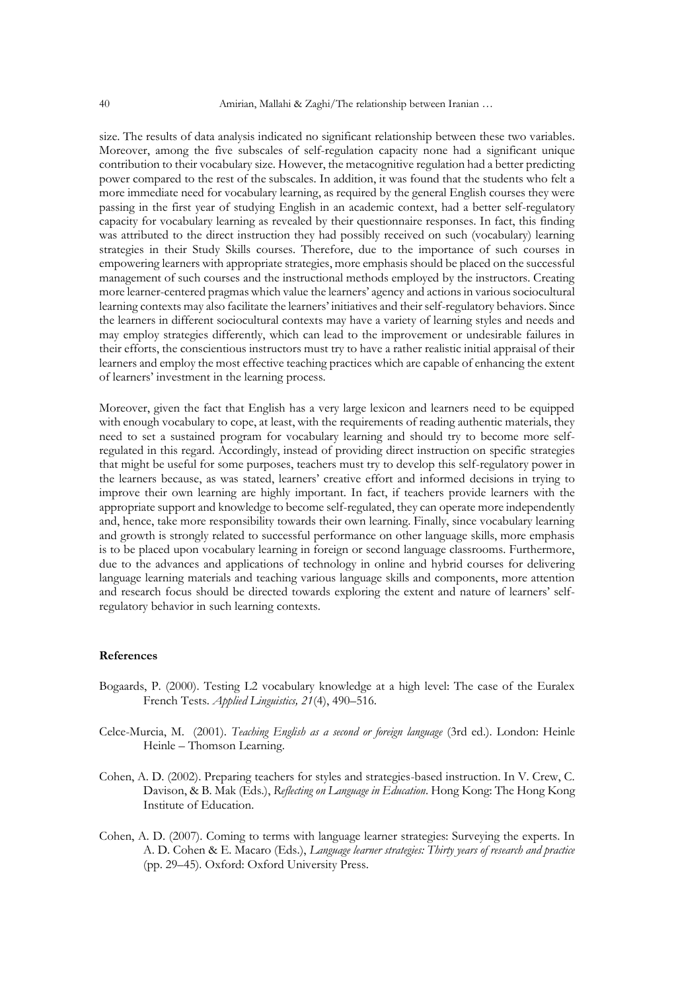size. The results of data analysis indicated no significant relationship between these two variables. Moreover, among the five subscales of self-regulation capacity none had a significant unique contribution to their vocabulary size. However, the metacognitive regulation had a better predicting power compared to the rest of the subscales. In addition, it was found that the students who felt a more immediate need for vocabulary learning, as required by the general English courses they were passing in the first year of studying English in an academic context, had a better self-regulatory capacity for vocabulary learning as revealed by their questionnaire responses. In fact, this finding was attributed to the direct instruction they had possibly received on such (vocabulary) learning strategies in their Study Skills courses. Therefore, due to the importance of such courses in empowering learners with appropriate strategies, more emphasis should be placed on the successful management of such courses and the instructional methods employed by the instructors. Creating more learner-centered pragmas which value the learners' agency and actions in various sociocultural learning contexts may also facilitate the learners' initiatives and their self-regulatory behaviors. Since the learners in different sociocultural contexts may have a variety of learning styles and needs and may employ strategies differently, which can lead to the improvement or undesirable failures in their efforts, the conscientious instructors must try to have a rather realistic initial appraisal of their learners and employ the most effective teaching practices which are capable of enhancing the extent of learners' investment in the learning process.

Moreover, given the fact that English has a very large lexicon and learners need to be equipped with enough vocabulary to cope, at least, with the requirements of reading authentic materials, they need to set a sustained program for vocabulary learning and should try to become more selfregulated in this regard. Accordingly, instead of providing direct instruction on specific strategies that might be useful for some purposes, teachers must try to develop this self-regulatory power in the learners because, as was stated, learners' creative effort and informed decisions in trying to improve their own learning are highly important. In fact, if teachers provide learners with the appropriate support and knowledge to become self-regulated, they can operate more independently and, hence, take more responsibility towards their own learning. Finally, since vocabulary learning and growth is strongly related to successful performance on other language skills, more emphasis is to be placed upon vocabulary learning in foreign or second language classrooms. Furthermore, due to the advances and applications of technology in online and hybrid courses for delivering language learning materials and teaching various language skills and components, more attention and research focus should be directed towards exploring the extent and nature of learners' selfregulatory behavior in such learning contexts.

#### **References**

- Bogaards, P. (2000). Testing L2 vocabulary knowledge at a high level: The case of the Euralex French Tests. *Applied Linguistics, 21*(4), 490–516.
- Celce-Murcia, M. (2001). *Teaching English as a second or foreign language* (3rd ed.). London: Heinle Heinle – Thomson Learning.
- Cohen, A. D. (2002). Preparing teachers for styles and strategies-based instruction. In V. Crew, C. Davison, & B. Mak (Eds.), *Reflecting on Language in Education*. Hong Kong: The Hong Kong Institute of Education.
- Cohen, A. D. (2007). Coming to terms with language learner strategies: Surveying the experts. In A. D. Cohen & E. Macaro (Eds.), *Language learner strategies: Thirty years of research and practice*  (pp. 29–45)*.* Oxford: Oxford University Press.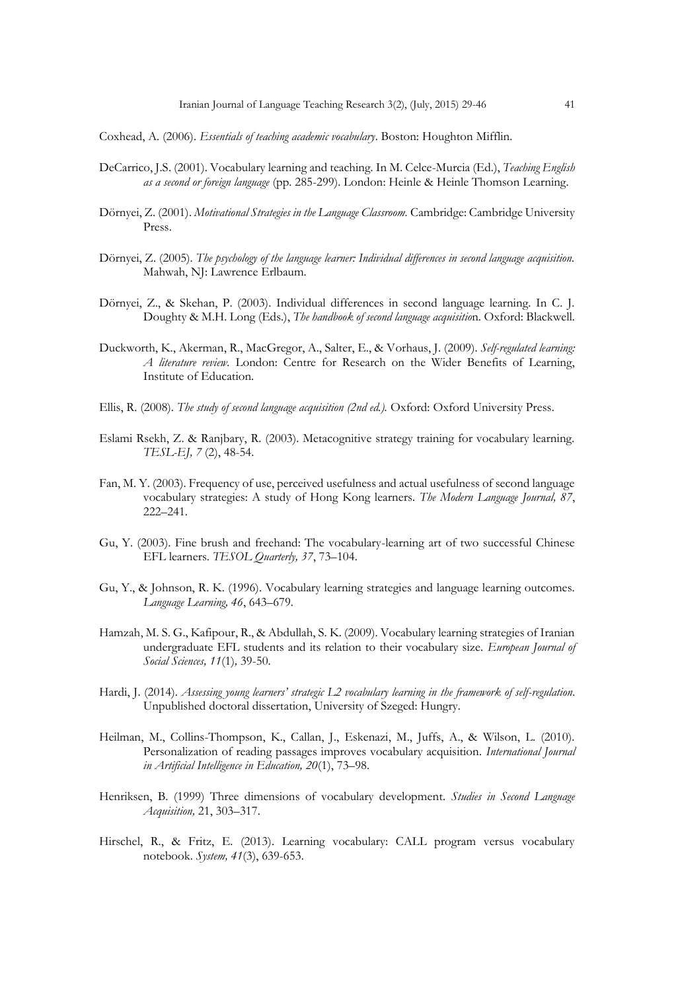Coxhead, A. (2006). *Essentials of teaching academic vocabulary*. Boston: Houghton Mifflin.

- DeCarrico, J.S. (2001). Vocabulary learning and teaching. In M. Celce-Murcia (Ed.), *Teaching English as a second or foreign language* (pp. 285-299). London: Heinle & Heinle Thomson Learning.
- Dörnyei, Z. (2001). *Motivational Strategies in the Language Classroom.* Cambridge: Cambridge University Press.
- Dörnyei, Z. (2005). *The psychology of the language learner: Individual differences in second language acquisition.* Mahwah, NJ: Lawrence Erlbaum.
- Dörnyei, Z., & Skehan, P. (2003). Individual differences in second language learning. In C. J. Doughty & M.H. Long (Eds.), *The handbook of second language acquisitio*n. Oxford: Blackwell.
- Duckworth, K., Akerman, R., MacGregor, A., Salter, E., & Vorhaus, J. (2009). *Self-regulated learning: A literature review.* London: Centre for Research on the Wider Benefits of Learning, Institute of Education.
- Ellis, R. (2008). *The study of second language acquisition (2nd ed.).* Oxford: Oxford University Press.
- Eslami Rsekh, Z. & Ranjbary, R. (2003). Metacognitive strategy training for vocabulary learning. *TESL-EJ, 7* (2), 48-54.
- Fan, M. Y. (2003). Frequency of use, perceived usefulness and actual usefulness of second language vocabulary strategies: A study of Hong Kong learners. *The Modern Language Journal, 87*, 222–241.
- Gu, Y. (2003). Fine brush and freehand: The vocabulary-learning art of two successful Chinese EFL learners. *TESOL Quarterly, 37*, 73–104.
- Gu, Y., & Johnson, R. K. (1996). Vocabulary learning strategies and language learning outcomes. *Language Learning, 46*, 643–679.
- Hamzah, M. S. G., Kafipour, R., & Abdullah, S. K. (2009). Vocabulary learning strategies of Iranian undergraduate EFL students and its relation to their vocabulary size. *European Journal of Social Sciences, 11*(1)*,* 39-50.
- Hardi, J. (2014). *Assessing young learners' strategic L2 vocabulary learning in the framework of self-regulation*. Unpublished doctoral dissertation, University of Szeged: Hungry.
- Heilman, M., Collins-Thompson, K., Callan, J., Eskenazi, M., Juffs, A., & Wilson, L. (2010). Personalization of reading passages improves vocabulary acquisition. *International Journal in Artificial Intelligence in Education, 20*(1), 73–98.
- Henriksen, B. (1999) Three dimensions of vocabulary development. *Studies in Second Language Acquisition,* 21, 303–317.
- Hirschel, R., & Fritz, E. (2013). Learning vocabulary: CALL program versus vocabulary notebook. *System, 41*(3), 639-653.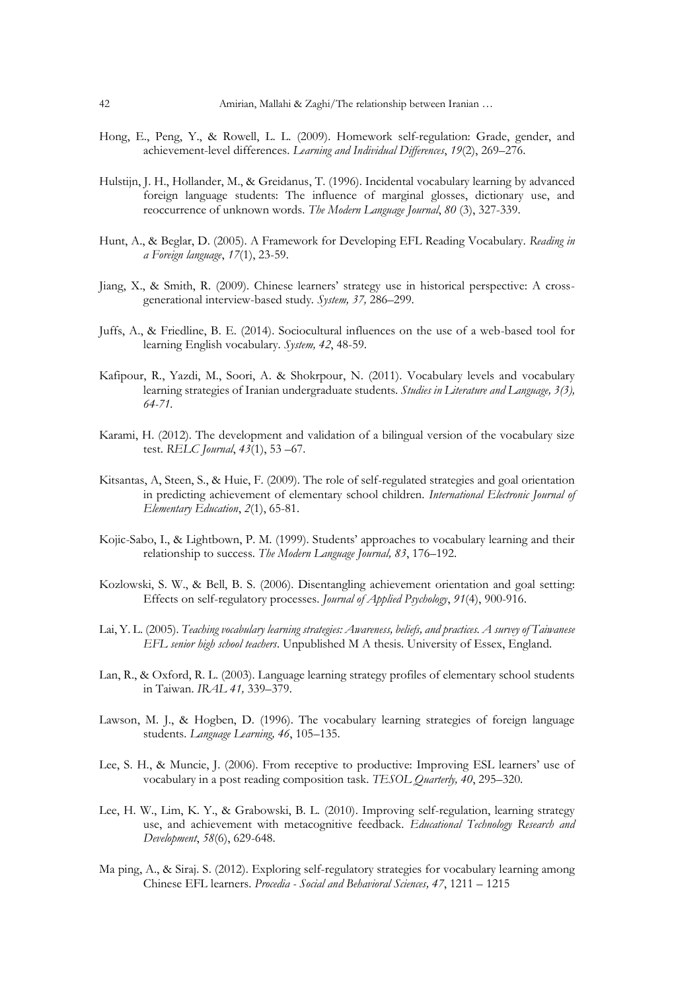- Hong, E., Peng, Y., & Rowell, L. L. (2009). Homework self-regulation: Grade, gender, and achievement-level differences. *Learning and Individual Differences*, *19*(2), 269–276.
- Hulstijn, J. H., Hollander, M., & Greidanus, T. (1996). Incidental vocabulary learning by advanced foreign language students: The influence of marginal glosses, dictionary use, and reoccurrence of unknown words. *The Modern Language Journal*, *80* (3), 327-339.
- Hunt, A., & Beglar, D. (2005). A Framework for Developing EFL Reading Vocabulary. *Reading in a Foreign language*, *17*(1), 23-59.
- Jiang, X., & Smith, R. (2009). Chinese learners' strategy use in historical perspective: A crossgenerational interview-based study*. System, 37,* 286–299.
- Juffs, A., & Friedline, B. E. (2014). Sociocultural influences on the use of a web-based tool for learning English vocabulary. *System, 42*, 48-59.
- Kafipour, R., Yazdi, M., Soori, A. & Shokrpour, N. (2011). Vocabulary levels and vocabulary learning strategies of Iranian undergraduate students. *Studies in Literature and Language, 3(3), 64-71.*
- Karami, H. (2012). The development and validation of a bilingual version of the vocabulary size test. *RELC Journal*, *43*(1), 53 –67.
- Kitsantas, A, Steen, S., & Huie, F. (2009). The role of self-regulated strategies and goal orientation in predicting achievement of elementary school children. *International Electronic Journal of Elementary Education*, *2*(1), 65-81.
- Kojic-Sabo, I., & Lightbown, P. M. (1999). Students' approaches to vocabulary learning and their relationship to success. *The Modern Language Journal, 83*, 176–192.
- Kozlowski, S. W., & Bell, B. S. (2006). Disentangling achievement orientation and goal setting: Effects on self-regulatory processes. *Journal of Applied Psychology*, *91*(4), 900-916.
- Lai, Y. L. (2005). *Teaching vocabulary learning strategies: Awareness, beliefs, and practices. A survey of Taiwanese EFL senior high school teachers*. Unpublished M A thesis. University of Essex, England.
- Lan, R., & Oxford, R. L. (2003). Language learning strategy profiles of elementary school students in Taiwan. *IRAL 41,* 339–379.
- Lawson, M. J., & Hogben, D. (1996). The vocabulary learning strategies of foreign language students. *Language Learning, 46*, 105–135.
- Lee, S. H., & Muncie, J. (2006). From receptive to productive: Improving ESL learners' use of vocabulary in a post reading composition task. *TESOL Quarterly, 40*, 295–320.
- Lee, H. W., Lim, K. Y., & Grabowski, B. L. (2010). Improving self-regulation, learning strategy use, and achievement with metacognitive feedback. *Educational Technology Research and Development*, *58*(6), 629-648.
- Ma ping, A., & Siraj. S. (2012). Exploring self-regulatory strategies for vocabulary learning among Chinese EFL learners. *Procedia - Social and Behavioral Sciences, 47*, 1211 – 1215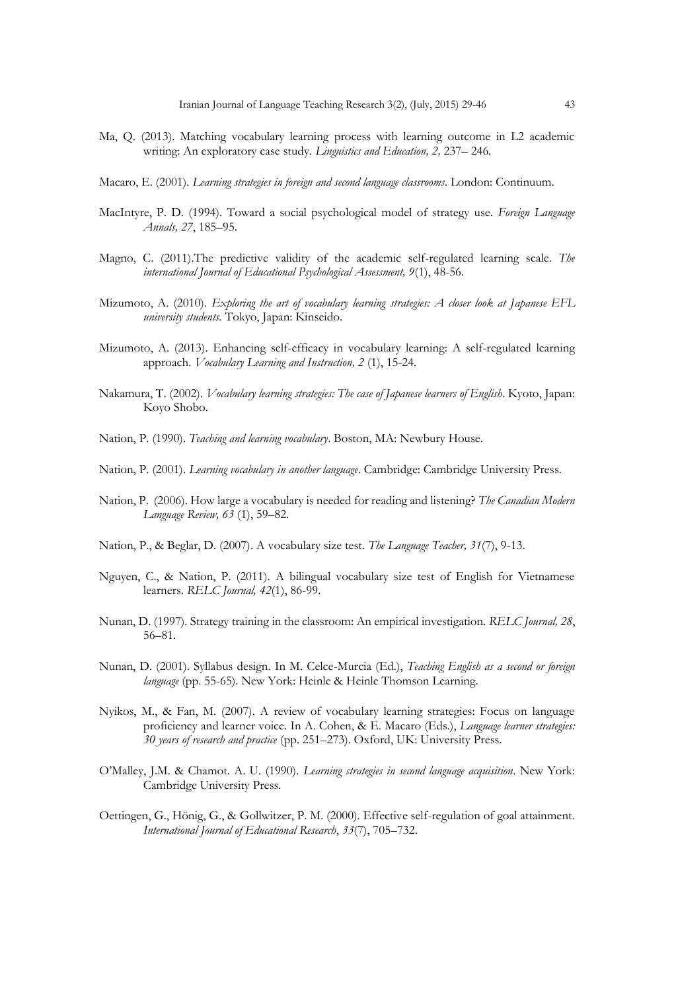- Ma, Q. (2013). Matching vocabulary learning process with learning outcome in L2 academic writing: An exploratory case study. *Linguistics and Education, 2,* 237– 246*.*
- Macaro, E. (2001). *Learning strategies in foreign and second language classrooms*. London: Continuum.
- MacIntyre, P. D. (1994). Toward a social psychological model of strategy use. *Foreign Language Annals, 27*, 185–95.
- Magno, C. (2011).The predictive validity of the academic self-regulated learning scale. *The international Journal of Educational Psychological Assessment, 9*(1), 48-56.
- Mizumoto, A. (2010). *Exploring the art of vocabulary learning strategies: A closer look at Japanese EFL university students.* Tokyo, Japan: Kinseido.
- Mizumoto, A. (2013). Enhancing self-efficacy in vocabulary learning: A self-regulated learning approach. *Vocabulary Learning and Instruction, 2* (1), 15-24.
- Nakamura, T. (2002). *Vocabulary learning strategies: The case of Japanese learners of English*. Kyoto, Japan: Koyo Shobo.
- Nation, P. (1990). *Teaching and learning vocabulary*. Boston, MA: Newbury House.
- Nation, P. (2001). *Learning vocabulary in another language*. Cambridge: Cambridge University Press.
- Nation, P. (2006). How large a vocabulary is needed for reading and listening? *The Canadian Modern Language Review, 63* (1), 59–82.
- Nation, P., & Beglar, D. (2007). A vocabulary size test. *The Language Teacher, 31*(7), 9-13.
- Nguyen, C., & Nation, P. (2011). A bilingual vocabulary size test of English for Vietnamese learners. *RELC Journal, 42*(1), 86-99.
- Nunan, D. (1997). Strategy training in the classroom: An empirical investigation. *RELC Journal, 28*, 56–81.
- Nunan, D. (2001). Syllabus design. In M. Celce-Murcia (Ed.), *Teaching English as a second or foreign language* (pp. 55-65). New York: Heinle & Heinle Thomson Learning.
- Nyikos, M., & Fan, M. (2007). A review of vocabulary learning strategies: Focus on language proficiency and learner voice. In A. Cohen, & E. Macaro (Eds.), *Language learner strategies: 30 years of research and practice* (pp. 251–273). Oxford, UK: University Press.
- O'Malley, J.M. & Chamot. A. U. (1990). *Learning strategies in second language acquisition*. New York: Cambridge University Press.
- Oettingen, G., Hönig, G., & Gollwitzer, P. M. (2000). Effective self-regulation of goal attainment. *International Journal of Educational Research*, *33*(7), 705–732.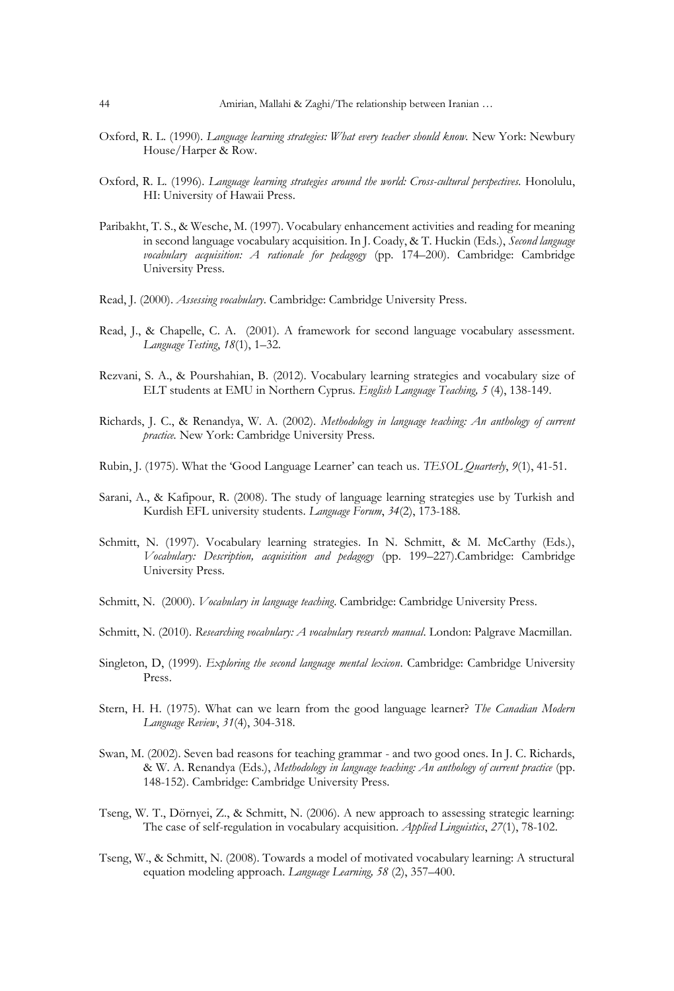- Oxford, R. L. (1990). *Language learning strategies: What every teacher should know*. New York: Newbury House/Harper & Row.
- Oxford, R. L. (1996). *Language learning strategies around the world: Cross-cultural perspectives.* Honolulu, HI: University of Hawaii Press.
- Paribakht, T. S., & Wesche, M. (1997). Vocabulary enhancement activities and reading for meaning in second language vocabulary acquisition. In J. Coady, & T. Huckin (Eds.), *Second language vocabulary acquisition: A rationale for pedagogy* (pp. 174–200). Cambridge: Cambridge University Press.
- Read, J. (2000). *Assessing vocabulary*. Cambridge: Cambridge University Press.
- Read, J., & Chapelle, C. A. (2001). A framework for second language vocabulary assessment. *Language Testing*, *18*(1), 1–32.
- Rezvani, S. A., & Pourshahian, B. (2012). Vocabulary learning strategies and vocabulary size of ELT students at EMU in Northern Cyprus. *English Language Teaching, 5* (4), 138-149.
- Richards, J. C., & Renandya, W. A. (2002). *Methodology in language teaching: An anthology of current practice.* New York: Cambridge University Press.
- Rubin, J. (1975). What the 'Good Language Learner' can teach us. *TESOL Quarterly*, *9*(1), 41-51.
- Sarani, A., & Kafipour, R. (2008). The study of language learning strategies use by Turkish and Kurdish EFL university students. *Language Forum*, *34*(2), 173-188.
- Schmitt, N. (1997). Vocabulary learning strategies. In N. Schmitt, & M. McCarthy (Eds.), *Vocabulary: Description, acquisition and pedagogy* (pp. 199–227).Cambridge: Cambridge University Press.
- Schmitt, N. (2000). *Vocabulary in language teaching*. Cambridge: Cambridge University Press.
- Schmitt, N. (2010). *Researching vocabulary: A vocabulary research manual*. London: Palgrave Macmillan.
- Singleton, D, (1999). *Exploring the second language mental lexicon*. Cambridge: Cambridge University Press.
- Stern, H. H. (1975). What can we learn from the good language learner? *The Canadian Modern Language Review*, *31*(4), 304-318.
- Swan, M. (2002). Seven bad reasons for teaching grammar and two good ones. In J. C. Richards, & W. A. Renandya (Eds.), *Methodology in language teaching: An anthology of current practice* (pp. 148-152). Cambridge: Cambridge University Press.
- Tseng, W. T., Dörnyei, Z., & Schmitt, N. (2006). A new approach to assessing strategic learning: The case of self-regulation in vocabulary acquisition. *Applied Linguistics*, *27*(1), 78-102.
- Tseng, W., & Schmitt, N. (2008). Towards a model of motivated vocabulary learning: A structural equation modeling approach. *Language Learning, 58* (2), 357–400.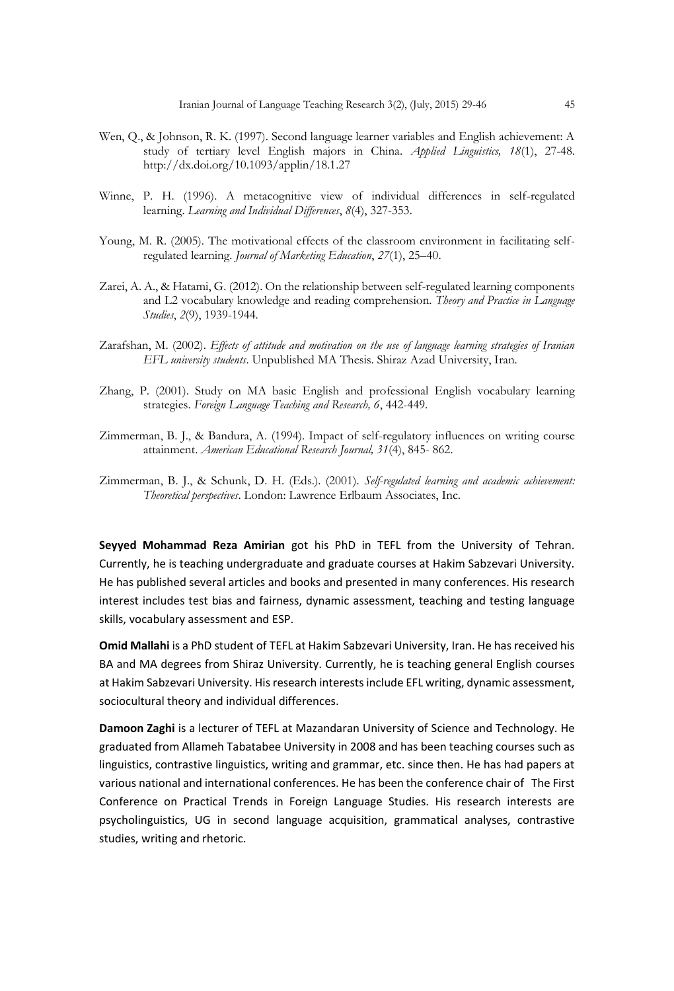- Wen, Q., & Johnson, R. K. (1997). Second language learner variables and English achievement: A study of tertiary level English majors in China. *Applied Linguistics, 18*(1), 27-48. http://dx.doi.org/10.1093/applin/18.1.27
- Winne, P. H. (1996). A metacognitive view of individual differences in self-regulated learning. *Learning and Individual Differences*, *8*(4), 327-353.
- Young, M. R. (2005). The motivational effects of the classroom environment in facilitating selfregulated learning. *Journal of Marketing Education*, *27*(1), 25–40.
- Zarei, A. A., & Hatami, G. (2012). On the relationship between self-regulated learning components and L2 vocabulary knowledge and reading comprehension. *Theory and Practice in Language Studies*, *2*(9), 1939-1944.
- Zarafshan, M. (2002). *Effects of attitude and motivation on the use of language learning strategies of Iranian EFL university students*. Unpublished MA Thesis. Shiraz Azad University, Iran.
- Zhang, P. (2001). Study on MA basic English and professional English vocabulary learning strategies. *Foreign Language Teaching and Research, 6*, 442-449.
- Zimmerman, B. J., & Bandura, A. (1994). Impact of self-regulatory influences on writing course attainment. *American Educational Research Journal, 31*(4), 845- 862.
- Zimmerman, B. J., & Schunk, D. H. (Eds.). (2001). *Self-regulated learning and academic achievement: Theoretical perspectives*. London: Lawrence Erlbaum Associates, Inc.

**Seyyed Mohammad Reza Amirian** got his PhD in TEFL from the University of Tehran. Currently, he is teaching undergraduate and graduate courses at Hakim Sabzevari University. He has published several articles and books and presented in many conferences. His research interest includes test bias and fairness, dynamic assessment, teaching and testing language skills, vocabulary assessment and ESP.

**Omid Mallahi** is a PhD student of TEFL at Hakim Sabzevari University, Iran. He has received his BA and MA degrees from Shiraz University. Currently, he is teaching general English courses at Hakim Sabzevari University. His research interests include EFL writing, dynamic assessment, sociocultural theory and individual differences.

**Damoon Zaghi** is a lecturer of TEFL at Mazandaran University of Science and Technology. He graduated from Allameh Tabatabee University in 2008 and has been teaching courses such as linguistics, contrastive linguistics, writing and grammar, etc. since then. He has had papers at various national and international conferences. He has been the conference chair of The First Conference on Practical Trends in Foreign Language Studies. His research interests are psycholinguistics, UG in second language acquisition, grammatical analyses, contrastive studies, writing and rhetoric.